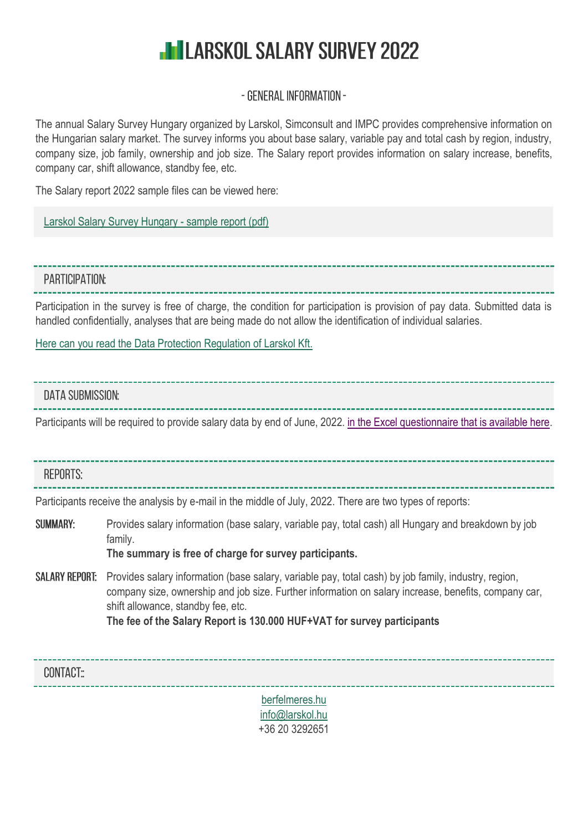# **HILARSKOL SALARY SURVEY 2022**

## - GENERAL INFORMATION -

The annual Salary Survey Hungary organized by Larskol, Simconsult and IMPC provides comprehensive information on the Hungarian salary market. The survey informs you about base salary, variable pay and total cash by region, industry, company size, job family, ownership and job size. The Salary report provides information on salary increase, benefits, company car, shift allowance, standby fee, etc.

The Salary report 2022 sample files can be viewed here:

[Larskol Salary Survey Hungary -](https://berfelmeres.hu/larskol-berfelmeres-jelentes-bemutatasa/) sample report (pdf)

### PARTICIPATION:

Participation in the survey is free of charge, the condition for participation is provision of pay data. Submitted data is handled confidentially, analyses that are being made do not allow the identification of individual salaries.

[Here can you read the Data Protection Regulation of Larskol Kft.](https://www.larskol.hu/downloads/Larskol_adatkezelesi_szabalyzat.pdf)

### **DATA SUBMISSION:**

Participants will be required to provide salary data by end of June, 2022. [in the Excel questionnaire that is available here.](https://berfelmeres.hu/berfelmeres_2022/Larskol_Berfelmeres_2022_kerdoiv.xlsx)

### **REPORTS:**

Participants receive the analysis by e-mail in the middle of July, 2022. There are two types of reports:

- **SUMMARY:** Provides salary information (base salary, variable pay, total cash) all Hungary and breakdown by job family.
	- **The summary is free of charge for survey participants.**
- SAI ARY REPORT: Provides salary information (base salary, variable pay, total cash) by job family, industry, region, company size, ownership and job size. Further information on salary increase, benefits, company car, shift allowance, standby fee, etc. **The fee of the Salary Report is 130.000 HUF+VAT for survey participants**



+36 20 3292651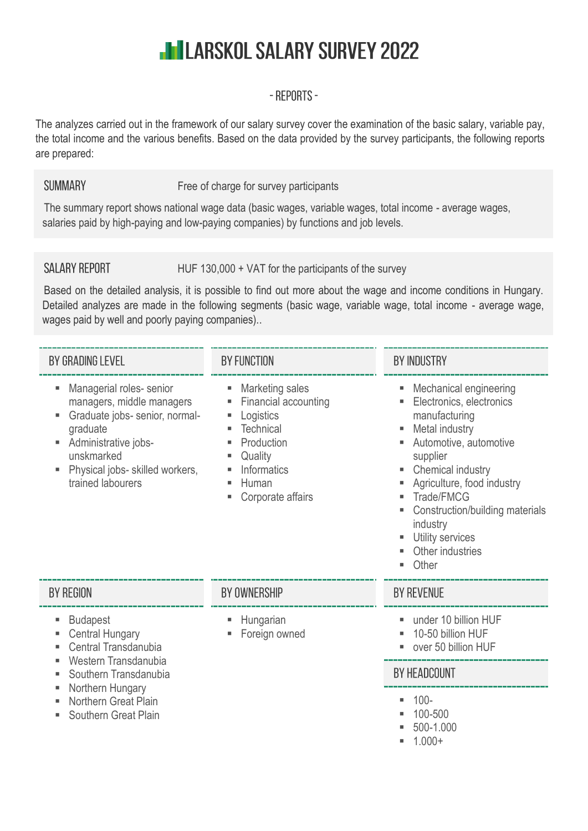# **IN LARSKOL SALARY SURVEY 2022**

## - REPORTS -

The analyzes carried out in the framework of our salary survey cover the examination of the basic salary, variable pay, the total income and the various benefits. Based on the data provided by the survey participants, the following reports are prepared:

#### **SUMMARY** Free of charge for survey participants

The summary report shows national wage data (basic wages, variable wages, total income - average wages, salaries paid by high-paying and low-paying companies) by functions and job levels.

## **SALARY REPORT**

HUF 130,000 + VAT for the participants of the survey

Based on the detailed analysis, it is possible to find out more about the wage and income conditions in Hungary. Detailed analyzes are made in the following segments (basic wage, variable wage, total income - average wage, wages paid by well and poorly paying companies)..

| BY GRADING LEVEL                                                                                                                                                                                            | <b>BY FUNCTION</b>                                                                                                                                       | <b>BY INDUSTRY</b>                                                                                                                                                                                                                                                                           |  |  |  |  |  |
|-------------------------------------------------------------------------------------------------------------------------------------------------------------------------------------------------------------|----------------------------------------------------------------------------------------------------------------------------------------------------------|----------------------------------------------------------------------------------------------------------------------------------------------------------------------------------------------------------------------------------------------------------------------------------------------|--|--|--|--|--|
| Managerial roles- senior<br>ш<br>managers, middle managers<br>Graduate jobs- senior, normal-<br>graduate<br>Administrative jobs-<br>ш<br>unskmarked<br>Physical jobs- skilled workers,<br>trained labourers | Marketing sales<br>٠<br>Financial accounting<br>Logistics<br>ш<br><b>Technical</b><br>Production<br>Quality<br>Informatics<br>Human<br>Corporate affairs | Mechanical engineering<br>Electronics, electronics<br>manufacturing<br>Metal industry<br>Automotive, automotive<br>supplier<br>Chemical industry<br>Agriculture, food industry<br>Trade/FMCG<br>Construction/building materials<br>industry<br>Utility services<br>Other industries<br>Other |  |  |  |  |  |
| BY REGION                                                                                                                                                                                                   | BY OWNERSHIP                                                                                                                                             | <b>BY REVENUE</b>                                                                                                                                                                                                                                                                            |  |  |  |  |  |
| <b>Budapest</b><br>Е<br><b>Central Hungary</b><br>Central Transdanubia                                                                                                                                      | Hungarian<br>Foreign owned                                                                                                                               | under 10 billion HUF<br>٠<br>10-50 billion HUF<br>over 50 billion HUF                                                                                                                                                                                                                        |  |  |  |  |  |
| Western Transdanubia<br>ш<br>Southern Transdanubia                                                                                                                                                          |                                                                                                                                                          | BY HEADCOUNT                                                                                                                                                                                                                                                                                 |  |  |  |  |  |
| Northern Hungary<br><b>Northern Great Plain</b><br>Southern Great Plain                                                                                                                                     |                                                                                                                                                          | $100 -$<br>٠<br>100-500<br>500-1.000                                                                                                                                                                                                                                                         |  |  |  |  |  |

 $- 1.000 +$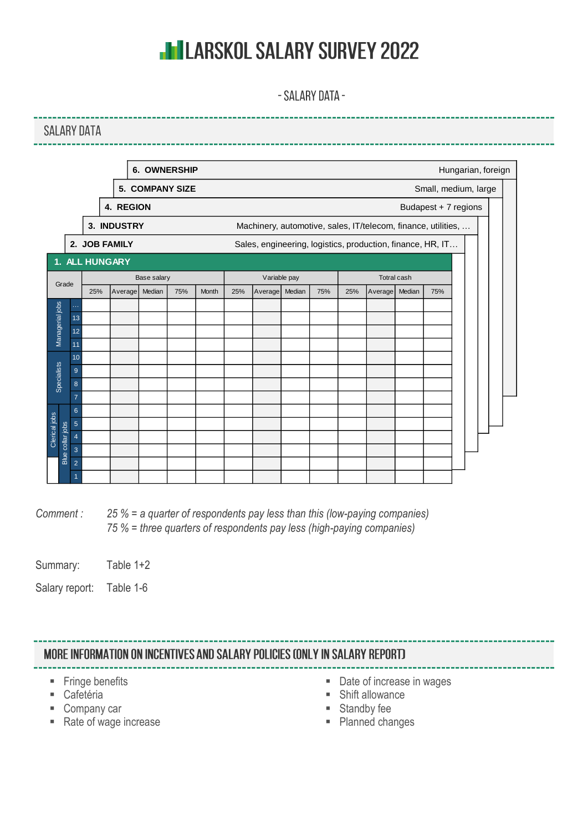# **IN LARSKOL SALARY SURVEY 2022**

- SALARY DATA -

------

|                              |                     |     |                    | <b>6. OWNERSHIP</b>    |     |       |     |                                                               |        |     |     |             |        |                      | Hungarian, foreign |  |
|------------------------------|---------------------|-----|--------------------|------------------------|-----|-------|-----|---------------------------------------------------------------|--------|-----|-----|-------------|--------|----------------------|--------------------|--|
|                              |                     |     |                    | <b>5. COMPANY SIZE</b> |     |       |     |                                                               |        |     |     |             |        | Small, medium, large |                    |  |
|                              |                     |     | 4. REGION          |                        |     |       |     |                                                               |        |     |     |             |        | Budapest + 7 regions |                    |  |
|                              |                     |     | 3. INDUSTRY        |                        |     |       |     | Machinery, automotive, sales, IT/telecom, finance, utilities, |        |     |     |             |        |                      |                    |  |
|                              |                     |     | 2. JOB FAMILY      |                        |     |       |     | Sales, engineering, logistics, production, finance, HR, IT    |        |     |     |             |        |                      |                    |  |
| 1.                           |                     |     | <b>ALL HUNGARY</b> |                        |     |       |     |                                                               |        |     |     |             |        |                      |                    |  |
| Grade                        |                     |     |                    | Base salary            |     |       |     | Variable pay                                                  |        |     |     | Totral cash |        |                      |                    |  |
|                              |                     | 25% | Average            | Median                 | 75% | Month | 25% | Average                                                       | Median | 75% | 25% | Average     | Median | 75%                  |                    |  |
|                              | $\cdots$            |     |                    |                        |     |       |     |                                                               |        |     |     |             |        |                      |                    |  |
|                              | 13                  |     |                    |                        |     |       |     |                                                               |        |     |     |             |        |                      |                    |  |
| Managerial jobs              | 12                  |     |                    |                        |     |       |     |                                                               |        |     |     |             |        |                      |                    |  |
|                              | 11                  |     |                    |                        |     |       |     |                                                               |        |     |     |             |        |                      |                    |  |
|                              | 10                  |     |                    |                        |     |       |     |                                                               |        |     |     |             |        |                      |                    |  |
| Specialists                  | 9                   |     |                    |                        |     |       |     |                                                               |        |     |     |             |        |                      |                    |  |
|                              | 8<br>$\overline{7}$ |     |                    |                        |     |       |     |                                                               |        |     |     |             |        |                      |                    |  |
|                              | $\boldsymbol{6}$    |     |                    |                        |     |       |     |                                                               |        |     |     |             |        |                      |                    |  |
|                              | $\overline{5}$      |     |                    |                        |     |       |     |                                                               |        |     |     |             |        |                      |                    |  |
| Clerical jobs<br>collar jobs | $\overline{4}$      |     |                    |                        |     |       |     |                                                               |        |     |     |             |        |                      |                    |  |
|                              | 3                   |     |                    |                        |     |       |     |                                                               |        |     |     |             |        |                      |                    |  |
| Blue                         | $\overline{2}$      |     |                    |                        |     |       |     |                                                               |        |     |     |             |        |                      |                    |  |
|                              | 1                   |     |                    |                        |     |       |     |                                                               |        |     |     |             |        |                      |                    |  |

*Comment : 25 % = a quarter of respondents pay less than this (low-paying companies) 75 % = three quarters of respondents pay less (high-paying companies)*

Summary: Table 1+2

Salary report: Table 1-6

### MORE INFORMATION ON INCENTIVES AND SALARY POLICIES (ONLY IN SALARY REPORT)

- **Fringe benefits**
- Cafetéria
- Company car
- Rate of wage increase
- Date of increase in wages
- Shift allowance
- Standby fee
- Planned changes